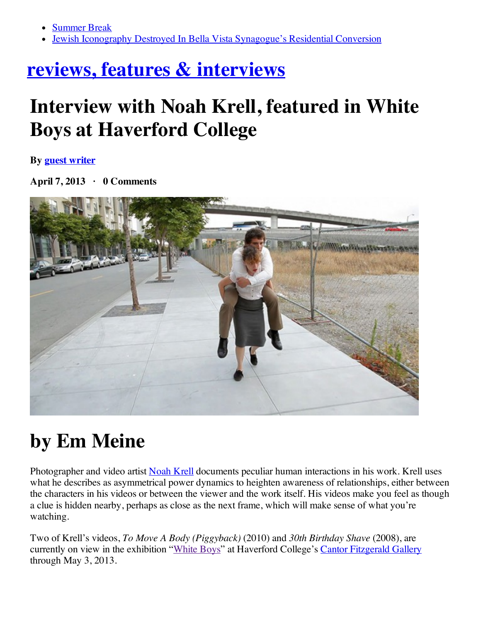- [Summer](http://hiddencityphila.org/2014/06/summer-break/) Break
- Jewish Iconography Destroyed In Bella Vista [Synagogue's](http://hiddencityphila.org/2014/06/jewish-iconography-destroyed-in-bella-vista-synagogues-residential-conversion/) Residential Conversion

## **reviews, features & [interviews](http://www.theartblog.org/category/reviews-features/)**

## **Interview with Noah Krell, featured in White Boys at Haverford College**

**By guest [writer](http://www.theartblog.org/author/guest-writer/)**

**April 7, 2013 · 0 Comments**



## **by Em Meine**

Photographer and video artist [Noah](http://www.noahkrell.com/) Krell documents peculiar human interactions in his work. Krell uses what he describes as asymmetrical power dynamics to heighten awareness of relationships, either between the characters in his videos or between the viewer and the work itself. His videos make you feel as though a clue is hidden nearby, perhaps as close as the next frame, which will make sense of what you're watching.

Two of Krell's videos, *To Move A Body (Piggyback)* (2010) and *30th Birthday Shave* (2008), are currently on view in the exhibition "[White](http://exhibits.haverford.edu/whiteboys/) Boys" at Haverford College's Cantor [Fitzgerald](http://www.haverford.edu/exhibits/) Gallery through May 3, 2013.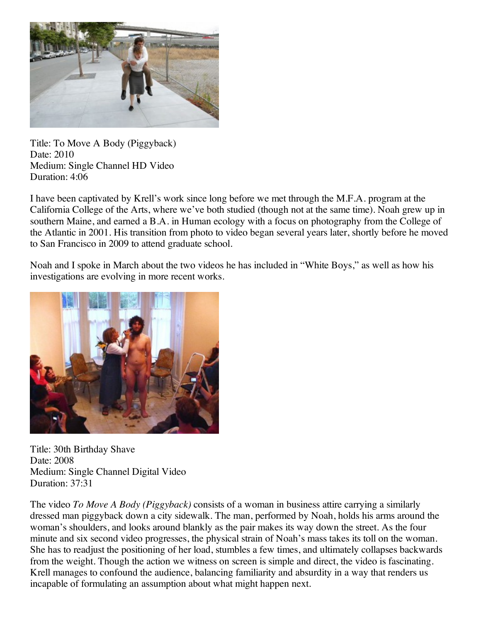

Title: To Move A Body (Piggyback) Date: 2010 Medium: Single Channel HD Video Duration: 4:06

I have been captivated by Krell's work since long before we met through the M.F.A. program at the California College of the Arts, where we've both studied (though not at the same time). Noah grew up in southern Maine, and earned a B.A. in Human ecology with a focus on photography from the College of the Atlantic in 2001. His transition from photo to video began several years later, shortly before he moved to San Francisco in 2009 to attend graduate school.

Noah and I spoke in March about the two videos he has included in "White Boys," as well as how his investigations are evolving in more recent works.



Title: 30th Birthday Shave Date: 2008 Medium: Single Channel Digital Video Duration: 37:31

The video *To Move A Body (Piggyback)* consists of a woman in business attire carrying a similarly dressed man piggyback down a city sidewalk. The man, performed by Noah, holds his arms around the woman's shoulders, and looks around blankly as the pair makes its way down the street. As the four minute and six second video progresses, the physical strain of Noah's mass takes its toll on the woman. She has to readjust the positioning of her load, stumbles a few times, and ultimately collapses backwards from the weight. Though the action we witness on screen is simple and direct, the video is fascinating. Krell manages to confound the audience, balancing familiarity and absurdity in a way that renders us incapable of formulating an assumption about what might happen next.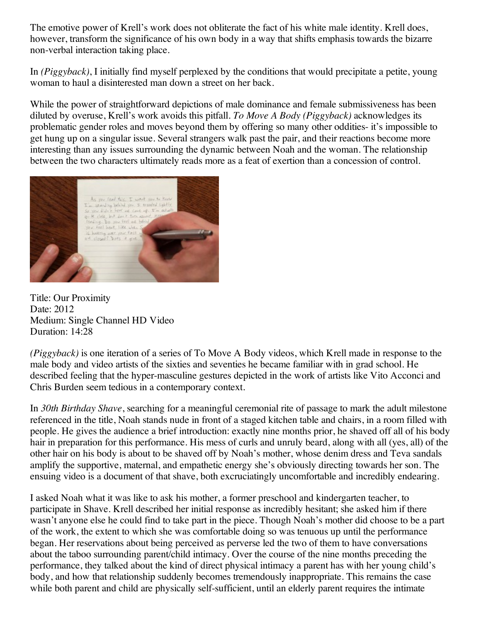The emotive power of Krell's work does not obliterate the fact of his white male identity. Krell does, however, transform the significance of his own body in a way that shifts emphasis towards the bizarre non-verbal interaction taking place.

In *(Piggyback)*, I initially find myself perplexed by the conditions that would precipitate a petite, young woman to haul a disinterested man down a street on her back.

While the power of straightforward depictions of male dominance and female submissiveness has been diluted by overuse, Krell's work avoids this pitfall. *To Move A Body (Piggyback)* acknowledges its problematic gender roles and moves beyond them by offering so many other oddities- it's impossible to get hung up on a singular issue. Several strangers walk past the pair, and their reactions become more interesting than any issues surrounding the dynamic between Noah and the woman. The relationship between the two characters ultimately reads more as a feat of exertion than a concession of control.



Title: Our Proximity Date: 2012 Medium: Single Channel HD Video Duration: 14:28

*(Piggyback)* is one iteration of a series of To Move A Body videos, which Krell made in response to the male body and video artists of the sixties and seventies he became familiar with in grad school. He described feeling that the hyper-masculine gestures depicted in the work of artists like Vito Acconci and Chris Burden seem tedious in a contemporary context.

In *30th Birthday Shave*, searching for a meaningful ceremonial rite of passage to mark the adult milestone referenced in the title, Noah stands nude in front of a staged kitchen table and chairs, in a room filled with people. He gives the audience a brief introduction: exactly nine months prior, he shaved off all of his body hair in preparation for this performance. His mess of curls and unruly beard, along with all (yes, all) of the other hair on his body is about to be shaved off by Noah's mother, whose denim dress and Teva sandals amplify the supportive, maternal, and empathetic energy she's obviously directing towards her son. The ensuing video is a document of that shave, both excruciatingly uncomfortable and incredibly endearing.

I asked Noah what it was like to ask his mother, a former preschool and kindergarten teacher, to participate in Shave. Krell described her initial response as incredibly hesitant; she asked him if there wasn't anyone else he could find to take part in the piece. Though Noah's mother did choose to be a part of the work, the extent to which she was comfortable doing so was tenuous up until the performance began. Her reservations about being perceived as perverse led the two of them to have conversations about the taboo surrounding parent/child intimacy. Over the course of the nine months preceding the performance, they talked about the kind of direct physical intimacy a parent has with her young child's body, and how that relationship suddenly becomes tremendously inappropriate. This remains the case while both parent and child are physically self-sufficient, until an elderly parent requires the intimate